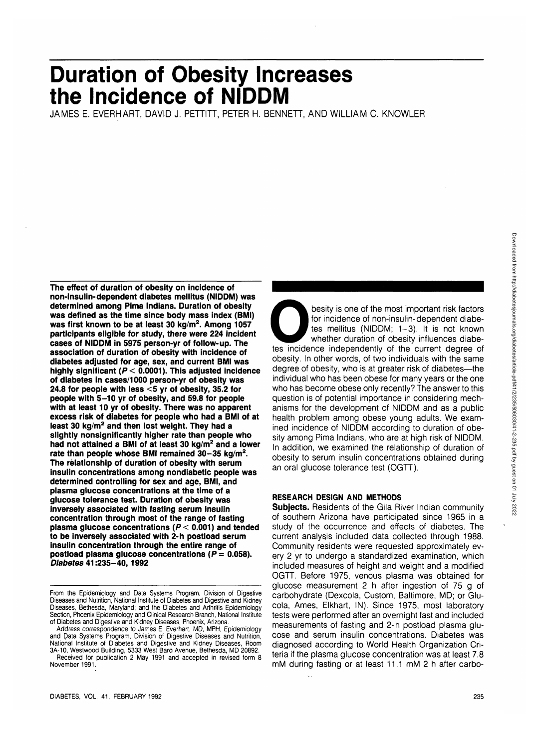# **Duration of Obesity Increases the Incidence of NIDDM**

JAMES E. EVERHART, DAVID J. PETTITT, PETER H. BENNETT, AND WILLIAM C. KNOWLER

**The effect of duration of obesity on incidence of non-insulin-dependent diabetes mellitus (NIDDM) was determined among Pima Indians. Duration of obesity was defined as the time since body mass index (BMI) was first known to be at least 30 kg/m<sup>2</sup> . Among 1057 participants eligible for study, there were 224 incident cases of NIDDM in 5975 person-yr of follow-up. The association of duration of obesity with incidence of diabetes adjusted for age, sex, and current BMI was highly significant (P< 0.0001). This adjusted incidence of diabetes in cases/1000 person-yr of obesity was 24.8 for people with less <5 yr of obesity, 35.2 for people with 5-10 yr of obesity, and 59.8 for people with at least 10 yr of obesity. There was no apparent excess risk of diabetes for people who had a BMI of at least 30 kg/m<sup>2</sup> and then lost weight. They had a slightly nonsignificantly higher rate than people who had not attained a BMI of at least 30 kg/m<sup>2</sup> and a lower rate than people whose BMI remained 30-35 kg/m<sup>2</sup> . The relationship of duration of obesity with serum insulin concentrations among nondiabetic people was determined controlling for sex and age, BMI, and plasma glucose concentrations at the time of a glucose tolerance test. Duration of obesity was inversely associated with fasting serum insulin concentration through most of the range of fasting plasma glucose concentrations (P< 0.001) and tended to be inversely associated with 2-h postload serum insulin concentration through the entire range of postload plasma glucose concentrations (** $P = 0.058$ **). Diabetes 41:235-40,1992**

besity is one of the most important risk factors<br>for incidence of non-insulin-dependent diabe-<br>tes mellitus (NIDDM; 1-3). It is not known<br>whether duration of obesity influences diabe-<br>tes incidence independently of the cur for incidence of non-insulin-dependent diabetes mellitus (NIDDM; 1-3). It is not known whether duration of obesity influences diabeobesity. In other words, of two individuals with the same degree of obesity, who is at greater risk of diabetes—the individual who has been obese for many years or the one who has become obese only recently? The answer to this question is of potential importance in considering mechanisms for the development of NIDDM and as a public health problem among obese young adults. We examined incidence of NIDDM according to duration of obesity among Pima Indians, who are at high risk of NIDDM. In addition, we examined the relationship of duration of obesity to serum insulin concentrations obtained during an oral glucose tolerance test (OGTT).

# **RESEARCH DESIGN AND METHODS**

**Subjects.** Residents of the Gila River Indian community of southern Arizona have participated since 1965 in a study of the occurrence and effects of diabetes. The current analysis included data collected through 1988. Community residents were requested approximately every 2 yr to undergo a standardized examination, which included measures of height and weight and a modified OGTT. Before 1975, venous plasma was obtained for glucose measurement 2 h after ingestion of 75 g of carbohydrate (Dexcola, Custom, Baltimore, MD; or Glucola, Ames, Elkhart, IN). Since 1975, most laboratory tests were performed after an overnight fast and included measurements of fasting and 2-h postload plasma glucose and serum insulin concentrations. Diabetes was diagnosed according to World Health Organization Criteria if the plasma glucose concentration was at least 7.8 mM during fasting or at least 11.1 mM 2 h after carbo-

From the Epidemiology and Data Systems Program, Division of Digestive Diseases and Nutrition, National Institute of Diabetes and Digestive and Kidney Diseases, Bethesda, Maryland; and the Diabetes and Arthritis Epidemiology Section, Phoenix Epidemiology and Clinical Research Branch, National Institute of Diabetes and Digestive and Kidney Diseases, Phoenix, Arizona.

Address correspondence to James E. Everhart, MD, MPH, Epidemiology and Data Systems Program, Division of Digestive Diseases and Nutrition, National Institute of Diabetes and Digestive and Kidney Diseases, Room 3A-10, Westwood Building, 5333 West Bard Avenue, Bethesda, MD 20892. Received for publication 2 May 1991 and accepted in revised form 8 November 1991.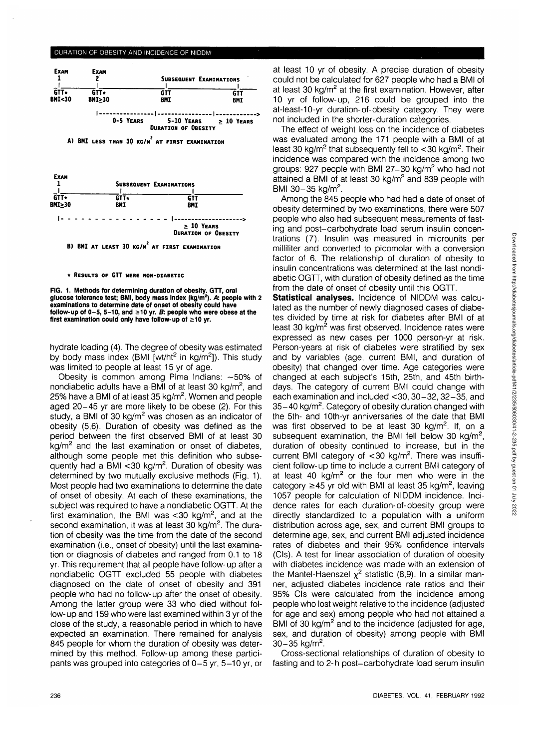#### DURATION OF OBESITY AND INCIDENCE OF NIDDM



**A) BHI LESS THAN 30 KG/M\* AT FIRST EXAMINATION**



B) BMI AT LEAST 30 KG/M<sup>2</sup> AT FIRST EXAMINATION

#### **\* RESULTS OF GTT WERE NON-DIABETIC**

**FIG. 1. Methods for determining duration of obesity. GTT, oral glucose tolerance test; BMI, body mass index (kg/m<sup>2</sup> ). A: people with 2 examinations to determine date of onset of obesity could have** follow-up of  $0-5$ ,  $5-10$ , and  $\geq 10$  yr.  $B$ : people who were obese at the **first examination could only have follow-up of >10 yr.**

hydrate loading (4). The degree of obesity was estimated by body mass index (BMI [wt/ht<sup>2</sup> in kg/m<sup>2</sup>]). This study was limited to people at least 15 yr of age.

Obesity is common among Pima Indians: —50% of nondiabetic adults have a BMI of at least 30 kg/m<sup>2</sup>, and 25% have a BMI of at least 35 kg/m<sup>2</sup>. Women and people aged 20-45 yr are more likely to be obese (2). For this study, a BMI of 30 kg/m<sup>2</sup> was chosen as an indicator of obesity (5,6). Duration of obesity was defined as the period between the first observed BMI of at least 30 .<br>kg/m<sup>2</sup> and the last examination or onset of diabetes, although some people met this definition who subsequently had a BMI < 30 kg/m<sup>2</sup>. Duration of obesity was determined by two mutually exclusive methods (Fig. 1). Most people had two examinations to determine the date of onset of obesity. At each of these examinations, the subject was required to have a nondiabetic OGTT. At the first examination, the BMI was  $<$  30 kg/m<sup>2</sup>, and at the second examination, it was at least 30 kg/m<sup>2</sup>. The duration of obesity was the time from the date of the second examination (i.e., onset of obesity) until the last examination or diagnosis of diabetes and ranged from 0.1 to 18 yr. This requirement that all people have follow-up after a nondiabetic OGTT excluded 55 people with diabetes diagnosed on the date of onset of obesity and 391 people who had no follow-up after the onset of obesity. Among the latter group were 33 who died without follow-up and 159 who were last examined within 3 yr of the close of the study, a reasonable period in which to have expected an examination. There remained for analysis 845 people for whom the duration of obesity was determined by this method. Follow-up among these participants was grouped into categories of 0-5 yr, 5-10 yr, or at least 10 yr of obesity. A precise duration of obesity could not be calculated for 627 people who had a BMI of at least 30 kg/m<sup>2</sup> at the first examination. However, after 10 yr of follow-up, 216 could be grouped into the at-least-10-yr duration-of-obesity category. They were not included in the shorter-duration categories.

The effect of weight loss on the incidence of diabetes was evaluated among the 171 people with a BMI of at least 30 kg/m<sup>2</sup> that subsequently fell to <30 kg/m<sup>2</sup>. Their incidence was compared with the incidence among two groups: 927 people with BMI 27-30 kg/m<sup>2</sup> who had not attained a BMI of at least 30 kg/m<sup>2</sup> and 839 people with BMI 30-35 kg/m<sup>2</sup>.

Among the 845 people who had had a date of onset of obesity determined by two examinations, there were 507 people who also had subsequent measurements of fasting and post-carbohydrate load serum insulin concentrations (7). Insulin was measured in microunits per milliliter and converted to picomolar with a conversion factor of 6. The relationship of duration of obesity to insulin concentrations was determined at the last nondiabetic OGTT, with duration of obesity defined as the time from the date of onset of obesity until this OGTT.

**Statistical analyses.** Incidence of NIDDM was calculated as the number of newly diagnosed cases of diabetes divided by time at risk for diabetes after BMI of at least 30 kg/m<sup>2</sup> was first observed. Incidence rates were expressed as new cases per 1000 person-yr at risk. Person-years at risk of diabetes were stratified by sex and by variables (age, current BMI, and duration of obesity) that changed over time. Age categories were changed at each subject's 15th, 25th, and 45th birthdays. The category of current BMI could change with each examination and included <30,30-32,32-35, and 35-40 kg/m<sup>2</sup>. Category of obesity duration changed with the 5th- and 10th-yr anniversaries of the date that BMI was first observed to be at least 30 kg/m<sup>2</sup>. If, on a subsequent examination, the BMI fell below 30 kg/m<sup>2</sup>, duration of obesity continued to increase, but in the current BMI category of  $\langle$  30 kg/m<sup>2</sup>. There was insufficient follow-up time to include a current BMI category of at least 40  $\text{kg/m}^2$  or the four men who were in the  $\alpha$  category  $\geq$  45 yr old with BMI at least 35 kg/m<sup>2</sup>, leaving 1057 people for calculation of NIDDM incidence. Incidence rates for each duration-of-obesity group were directly standardized to a population with a uniform distribution across age, sex, and current BMI groups to determine age, sex, and current BMI adjusted incidence rates of diabetes and their 95% confidence intervals (CIs). A test for linear association of duration of obesity with diabetes incidence was made with an extension of the Mantel-Haenszel  $x^2$  statistic  $(8.9)$ . In a similar manner, adjusted diabetes incidence rate ratios and their 95% CIs were calculated from the incidence among people who lost weight relative to the incidence (adjusted for age and sex) among people who had not attained a It also alle con, alleng peeple this had not attained as<br>BMI of 30 kg/m<sup>2</sup> and to the incidence (adjusted for age, sex, and duration of obesity) among people with BMI 30–35 ka/m<sup>2</sup>.

Cross-sectional relationships of duration of obesity to fasting and to 2-h post-carbohydrate load serum insulin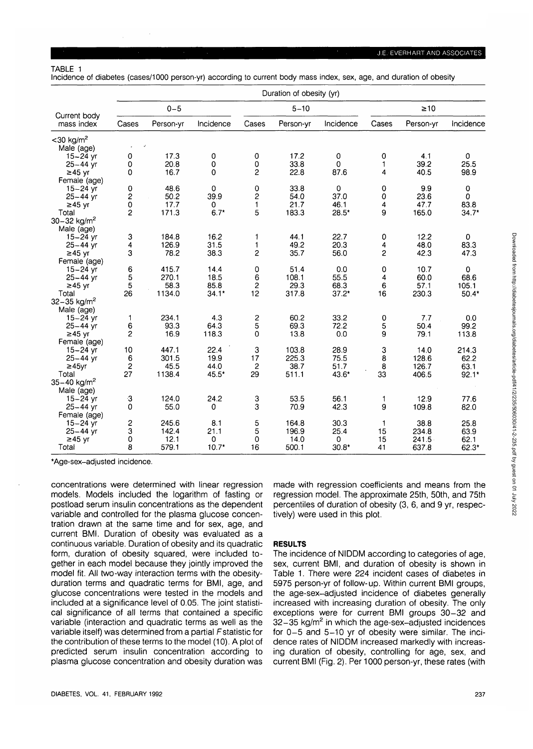Incidence of diabetes (cases/1000 person-yr) according to current body mass index, sex, age, and duration of obesity

|                             | Duration of obesity (yr) |           |             |                         |           |             |              |           |              |  |  |
|-----------------------------|--------------------------|-----------|-------------|-------------------------|-----------|-------------|--------------|-----------|--------------|--|--|
|                             | $0 - 5$                  |           |             | $5 - 10$                |           |             | $\geq 10$    |           |              |  |  |
| Current body<br>mass index  | Cases                    | Person-yr | Incidence   | Cases                   | Person-yr | Incidence   | Cases        | Person-yr | Incidence    |  |  |
| $<$ 30 kg/m <sup>2</sup>    |                          |           |             |                         |           |             |              |           |              |  |  |
| Male (age)                  |                          |           |             |                         |           |             |              |           |              |  |  |
| 15 $-24$ yr                 | 0                        | 17.3      | 0           | 0                       | 17.2      | $\pmb{0}$   | 0            | 4.1       | $\mathbf{0}$ |  |  |
| $25 - 44$ yr                | 0                        | 20.8      | 0           | 0                       | 33.8      | $\mathbf 0$ | 1            | 39.2      | 25.5         |  |  |
| $\geq$ 45 yr                | 0                        | 16.7      | $\Omega$    | 2                       | 22.8      | 87.6        | 4            | 40.5      | 98.9         |  |  |
| Female (age)                |                          |           |             |                         |           |             |              |           |              |  |  |
| $15 - 24$ yr                | $\mathbf 0$              | 48.6      | $\circ$     | 0                       | 33.8      | 0           | 0            | 9.9       | $\mathbf 0$  |  |  |
| $25 - 44$ yr                | $\overline{\mathbf{c}}$  | 50.2      | 39.9        | $\overline{\mathbf{c}}$ | 54.0      | 37.0        | 0            | 23.6      | 0            |  |  |
| ≥45 yr                      | 0<br>$\overline{c}$      | 17.7      | 0<br>$6.7*$ | $\mathbf{1}$<br>5       | 21.7      | 46.1        | 4<br>9       | 47.7      | 83.8         |  |  |
| Total                       |                          | 171.3     |             |                         | 183.3     | $28.5*$     |              | 165.0     | $34.7*$      |  |  |
| $30 - 32$ kg/m <sup>2</sup> |                          |           |             |                         |           |             |              |           |              |  |  |
| Male (age)<br>$15 - 24$ yr  | 3                        | 184.8     | 16.2        | 1                       | 44.1      | 22.7        | 0            | 12.2      | 0            |  |  |
| $25 - 44$ yr                | 4                        | 126.9     | 31.5        | 1                       | 49.2      | 20.3        | 4            | 48.0      | 83.3         |  |  |
| $≥45$ yr                    | 3                        | 78.2      | 38.3        | 2                       | 35.7      | 56.0        | 2            | 42.3      | 47.3         |  |  |
| Female (age)                |                          |           |             |                         |           |             |              |           |              |  |  |
| 15-24 yr                    | 6                        | 415.7     | 14.4        | 0                       | 51.4      | 0.0         | 0            | 10.7      | $\mathbf 0$  |  |  |
| $25 - 44$ yr                | 5                        | 270.1     | 18.5        | 6                       | 108.1     | 55.5        | 4            | 60.0      | 68.6         |  |  |
| ≥45 yr                      | 5                        | 58.3      | 85.8        | 2                       | 29.3      | 68.3        | 6            | 57.1      | 105.1        |  |  |
| Total                       | 26                       | 1134.0    | $34.1*$     | 12                      | 317.8     | $37.2*$     | 16           | 230.3     | $50.4*$      |  |  |
| $32 - 35$ kg/m <sup>2</sup> |                          |           |             |                         |           |             |              |           |              |  |  |
| Male (age)                  |                          |           |             |                         |           |             |              |           |              |  |  |
| $15 - 24$ yr                | 1                        | 234.1     | 4.3         |                         | 60.2      | 33.2        | 0            | 7.7       | 0.0          |  |  |
| $25 - 44$ vr                | 6                        | 93.3      | 64.3        | $\frac{2}{5}$           | 69.3      | 72.2        | 5            | 50.4      | 99.2         |  |  |
| $\geq$ 45 yr                | $\overline{c}$           | 16.9      | 118.3       | 0                       | 13.8      | 0.0         | 9            | 79.1      | 113.8        |  |  |
| Female (age)                |                          |           |             |                         |           |             |              |           |              |  |  |
| $15 - 24$ yr                | 10                       | 447.1     | 22.4        | 3                       | 103.8     | 28.9        | 3            | 14.0      | 214.3        |  |  |
| $25 - 44$ yr                | 6                        | 301.5     | 19.9        | 17                      | 225.3     | 75.5        | 8            | 128.6     | 62.2         |  |  |
| $\geq$ 45yr                 | $\overline{\mathbf{c}}$  | 45.5      | 44.0        | $\overline{c}$          | 38.7      | 51.7        | 8            | 126.7     | 63.1         |  |  |
| Total                       | 27                       | 1138.4    | 45.5*       | 29                      | 511.1     | 43.6*       | 33           | 406.5     | $92.1*$      |  |  |
| $35 - 40$ kg/m <sup>2</sup> |                          |           |             |                         |           |             |              |           |              |  |  |
| Male (age)                  |                          |           |             |                         |           |             |              |           |              |  |  |
| $15 - 24$ yr                | -3                       | 124.0     | 24.2        | 3                       | 53.5      | 56.1        | 1            | 12.9      | 77.6         |  |  |
| $25 - 44$ yr                | 0                        | 55.0      | 0           | 3                       | 70.9      | 42.3        | 9            | 109.8     | 82.0         |  |  |
| Female (age)                |                          |           |             |                         |           |             |              |           |              |  |  |
| $15 - 24$ yr                | $\overline{\mathbf{c}}$  | 245.6     | 8.1         | 5                       | 164.8     | 30.3        | $\mathbf{1}$ | 38.8      | 25.8         |  |  |
| $25 - 44$ yr                | 3                        | 142.4     | 21.1        | 5                       | 196.9     | 25.4        | 15           | 234.8     | 63.9         |  |  |
| ≥45 yr                      | 0                        | 12.1      | 0           | 0                       | 140       | 0           | 15           | 241.5     | 62.1         |  |  |
| Total                       | 8                        | 579.1     | $10.7*$     | 16                      | 500.1     | $30.8*$     | 41           | 637.8     | 62.3*        |  |  |

\*Age-sex-adjusted incidence.

concentrations were determined with linear regression models. Models included the logarithm of fasting or postload serum insulin concentrations as the dependent variable and controlled for the plasma glucose concentration drawn at the same time and for sex, age, and current BMI. Duration of obesity was evaluated as a continuous variable. Duration of obesity and its quadratic form, duration of obesity squared, were included together in each model because they jointly improved the model fit. All two-way interaction terms with the obesityduration terms and quadratic terms for BMI, age, and glucose concentrations were tested in the models and included at a significance level of 0.05. The joint statistical significance of all terms that contained a specific variable (interaction and quadratic terms as well as the variable itself) was determined from a partial Fstatistic for the contribution of these terms to the model (10). A plot of predicted serum insulin concentration according to plasma glucose concentration and obesity duration was

made with regression coefficients and means from the regression model. The approximate 25th, 50th, and 75th percentiles of duration of obesity (3, 6, and 9 yr, respectively) were used in this plot.

#### **RESULTS**

The incidence of NIDDM according to categories of age, sex, current BMI, and duration of obesity is shown in Table 1. There were 224 incident cases of diabetes in 5975 person-yr of follow-up. Within current BMI groups, the age-sex-adjusted incidence of diabetes generally increased with increasing duration of obesity. The only exceptions were for current BMI groups 30-32 and 32-35 kg/m<sup>2</sup> in which the age-sex-adjusted incidences for 0-5 and 5-10 yr of obesity were similar. The incidence rates of NIDDM increased markedly with increasing duration of obesity, controlling for age, sex, and current BMI (Fig. 2). Per 1000 person-yr, these rates (with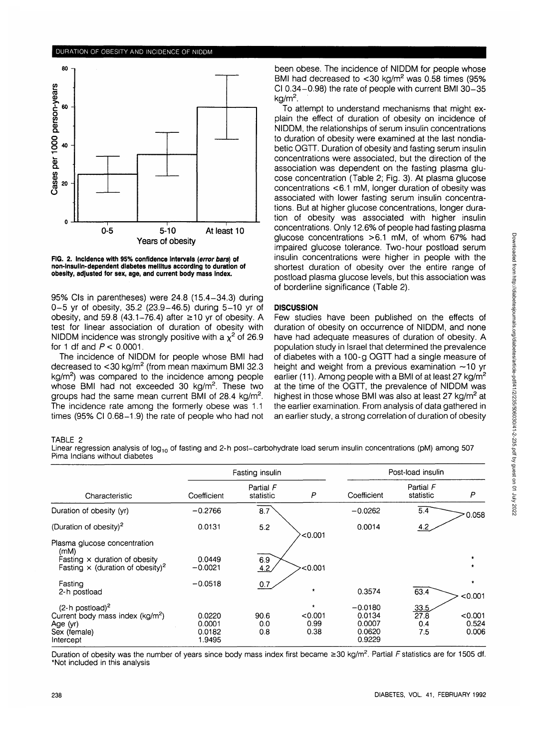

**FIG. 2. Incidence with 95% confidence intervals (error bars) of non-insulln-dependent diabetes mellitus according to duration of obesity, adjusted for sex, age, and current body mass index.**

95% CIs in parentheses) were 24.8 (15.4-34.3) during 0-5 yr of obesity, 35.2 (23.9-46.5) during 5-10 yr of obesity, and 59.8 (43.1-76.4) after  $\geq$  10 yr of obesity. A test for linear association of duration of obesity with NIDDM incidence was strongly positive with a  $\chi^2$  of 26.9 for 1 df and  $P < 0.0001$ .

The incidence of NIDDM for people whose BMI had decreased to <30 kg/m<sup>2</sup> (from mean maximum BMI 32.3 kg/m<sup>2</sup>) was compared to the incidence among people whose BMI had not exceeded 30 kg/m<sup>2</sup>. These two groups had the same mean current BMI of 28.4 kg/m<sup>2</sup>. The incidence rate among the formerly obese was 1.1 times (95% Cl 0.68-1.9) the rate of people who had not

been obese. The incidence of NIDDM for people whose BMI had decreased to  $<$ 30 kg/m<sup>2</sup> was 0.58 times (95% Cl 0.34-0.98) the rate of people with current BMI 30-35 kg/m<sup>2</sup>.

To attempt to understand mechanisms that might explain the effect of duration of obesity on incidence of NIDDM, the relationships of serum insulin concentrations to duration of obesity were examined at the last nondiabetic OGTT. Duration of obesity and fasting serum insulin concentrations were associated, but the direction of the association was dependent on the fasting plasma glucose concentration (Table 2; Fig. 3). At plasma glucose concentrations <6.1 mM, longer duration of obesity was associated with lower fasting serum insulin concentrations. But at higher glucose concentrations, longer duration of obesity was associated with higher insulin concentrations. Only 12.6% of people had fasting plasma glucose concentrations >6.1 mM, of whom 67% had impaired glucose tolerance. Two-hour postload serum insulin concentrations were higher in people with the shortest duration of obesity over the entire range of postload plasma glucose levels, but this association was of borderline significance (Table 2).

# **DISCUSSION**

Few studies have been published on the effects of duration of obesity on occurrence of NIDDM, and none have had adequate measures of duration of obesity. A population study in Israel that determined the prevalence of diabetes with a 100-g OGTT had a single measure of height and weight from a previous examination  $\sim$ 10 yr earlier (11). Among people with a BMI of at least 27 kg/m<sup>2</sup> at the time of the OGTT, the prevalence of NIDDM was highest in those whose BMI was also at least 27 kg/m<sup>2</sup> at the earlier examination. From analysis of data gathered in an earlier study, a strong correlation of duration of obesity

### TABLE 2

Linear regression analysis of log<sub>10</sub> of fasting and 2-h post-carbohydrate load serum insulin concentrations (pM) among 507 Pima Indians without diabetes

|                                                                                                                                     |                                      | Fasting insulin        |                                    | Post-load insulin                                 |                            |                           |  |
|-------------------------------------------------------------------------------------------------------------------------------------|--------------------------------------|------------------------|------------------------------------|---------------------------------------------------|----------------------------|---------------------------|--|
| Characteristic                                                                                                                      | Coefficient                          | Partial F<br>statistic | Р                                  | Coefficient                                       | Partial F<br>statistic     | P                         |  |
| Duration of obesity (yr)                                                                                                            | $-0.2766$                            | 8.7                    |                                    | $-0.0262$                                         | 5.4                        | 0.058                     |  |
| (Duration of obesity) <sup>2</sup>                                                                                                  | 0.0131                               | 5.2                    | < 0.001                            | 0.0014                                            | 4.2                        |                           |  |
| Plasma glucose concentration<br>(mM)<br>Fasting $\times$ duration of obesity<br>Fasting $\times$ (duration of obesity) <sup>2</sup> | 0.0449<br>$-0.0021$                  | 6.9<br>4.2             | -<0.001                            |                                                   |                            | $\star$<br>$\star$        |  |
| Fasting<br>2-h postload                                                                                                             | $-0.0518$                            | 0.7                    | $\star$                            | 0.3574                                            | 63.4                       | $\star$<br>< 0.001        |  |
| $(2-h)$ postload) <sup>2</sup><br>Current body mass index (kg/m <sup>2</sup> )<br>Age (yr)<br>Sex (female)<br>Intercept             | 0.0220<br>0.0001<br>0.0182<br>1.9495 | 90.6<br>0.0<br>0.8     | $\star$<br>< 0.001<br>0.99<br>0.38 | $-0.0180$<br>0.0134<br>0.0007<br>0.0620<br>0.9229 | 33.5<br>27.8<br>0.4<br>7.5 | < 0.001<br>0.524<br>0.006 |  |

Duration of obesity was the number of years since body mass index first became ≥30 kg/m<sup>2</sup>. Partial F statistics are for 1505 df. \*Not included in this analysis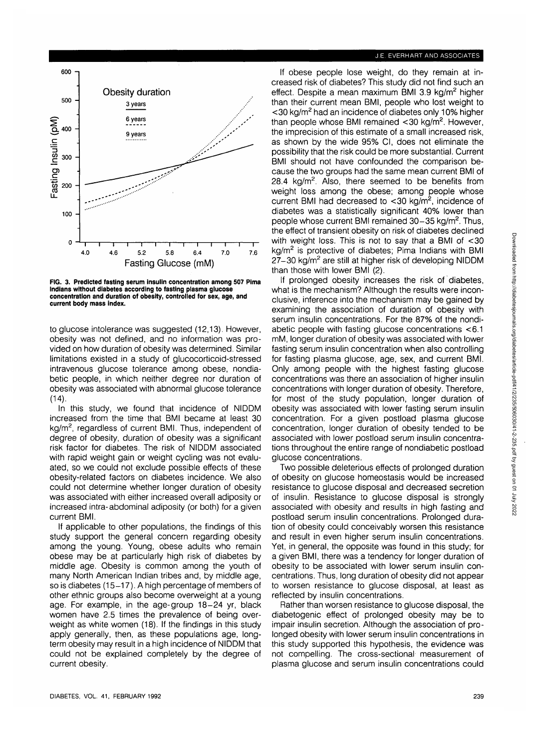# J.E. EVERHART AND ASSOCIATES



**FIG. 3. Predicted fasting serum insulin concentration among 507 Pima Indians without diabetes according to fasting plasma glucose concentration and duration of obesity, controlled for sex, age, and current body mass index.**

to glucose intolerance was suggested (12,13). However, obesity was not defined, and no information was provided on how duration of obesity was determined. Similar limitations existed in a study of glucocorticoid-stressed intravenous glucose tolerance among obese, nondiabetic people, in which neither degree nor duration of obesity was associated with abnormal glucose tolerance  $(14).$ 

In this study, we found that incidence of NIDDM increased from the time that BMI became at least 30 kg/m<sup>2</sup>, regardless of current BMI. Thus, independent of degree of obesity, duration of obesity was a significant risk factor for diabetes. The risk of NIDDM associated with rapid weight gain or weight cycling was not evaluated, so we could not exclude possible effects of these obesity-related factors on diabetes incidence. We also could not determine whether longer duration of obesity was associated with either increased overall adiposity or increased intra-abdominal adiposity (or both) for a given current BMI.

If applicable to other populations, the findings of this study support the general concern regarding obesity among the young. Young, obese adults who remain obese may be at particularly high risk of diabetes by middle age. Obesity is common among the youth of many North American Indian tribes and, by middle age, so is diabetes (15-17). A high percentage of members of other ethnic groups also become overweight at a young age. For example, in the age-group 18-24 yr, black women have 2.5 times the prevalence of being overweight as white women (18). If the findings in this study apply generally, then, as these populations age, longterm obesity may result in a high incidence of NIDDM that could not be explained completely by the degree of current obesity.

If obese people lose weight, do they remain at increased risk of diabetes? This study did not find such an effect. Despite a mean maximum BMI 3.9 kg/m<sup>2</sup> higher than their current mean BMI, people who lost weight to <30 kg/m<sup>2</sup> had an incidence of diabetes only 10% higher than people whose BMI remained <30 kg/m<sup>2</sup>. However, the imprecision of this estimate of a small increased risk, as shown by the wide 95% Cl, does not eliminate the possibility that the risk could be more substantial. Current BMI should not have confounded the comparison because the two groups had the same mean current BMI of 28.4  $kg/m^2$  Also, there seemed to be benefits from weight loss among the obese; among people whose current BMI had decreased to <30 kg/m<sup>2</sup>, incidence of diabetes was a statistically significant 40% lower than people whose current BMI remained 30–35 kg/m<sup>2</sup>. Thus, the effect of transient obesity on risk of diabetes declined with weight loss. This is not to say that a BMI of <30 kg/m<sup>2</sup> is protective of diabetes; Pima Indians with BMI 27-30 kg/m<sup>2</sup> are still at higher risk of developing NIDDM than those with lower BMI (2).

If prolonged obesity increases the risk of diabetes, what is the mechanism? Although the results were inconclusive, inference into the mechanism may be gained by examining the association of duration of obesity with serum insulin concentrations. For the 87% of the nondiabetic people with fasting glucose concentrations <6.1 mM, longer duration of obesity was associated with lower fasting serum insulin concentration when also controlling for fasting plasma glucose, age, sex, and current BMI. Only among people with the highest fasting glucose concentrations was there an association of higher insulin concentrations with longer duration of obesity. Therefore, for most of the study population, longer duration of obesity was associated with lower fasting serum insulin concentration. For a given postload plasma glucose concentration, longer duration of obesity tended to be associated with lower postload serum insulin concentrations throughout the entire range of nondiabetic postload glucose concentrations.

Two possible deleterious effects of prolonged duration of obesity on glucose homeostasis would be increased resistance to glucose disposal and decreased secretion of insulin. Resistance to glucose disposal is strongly associated with obesity and results in high fasting and postload serum insulin concentrations. Prolonged duration of obesity could conceivably worsen this resistance and result in even higher serum insulin concentrations. Yet, in general, the opposite was found in this study; for a given BMI, there was a tendency for longer duration of obesity to be associated with lower serum insulin concentrations. Thus, long duration of obesity did not appear to worsen resistance to glucose disposal, at least as reflected by insulin concentrations.

Rather than worsen resistance to glucose disposal, the diabetogenic effect of prolonged obesity may be to impair insulin secretion. Although the association of prolonged obesity with lower serum insulin concentrations in this study supported this hypothesis, the evidence was not compelling. The cross-sectional measurement of plasma glucose and serum insulin concentrations could